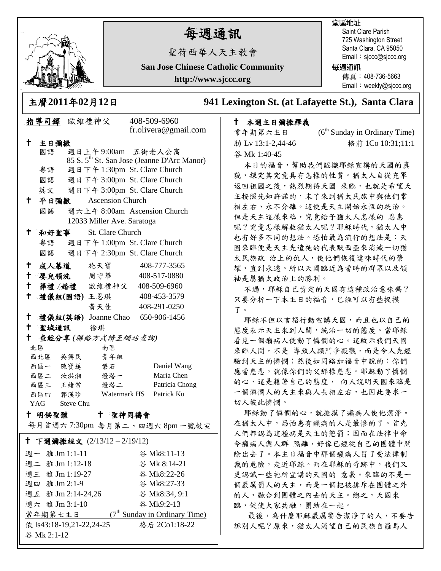

# 每週通訊

堂區地址

Saint Clare Parish 725 Washington Street Santa Clara, CA 95050 Email: sjccc@sjccc.org

**San Jose Chinese Catholic Community**

聖荷西華人天主教會

**http://www.sjccc.org**

## 每週通訊

傳真:408-736-5663 Email: weekly@sjccc.org

主曆**2011**年**02**月**12**日 **941 Lexington St. (at Lafayette St.), Santa Clara** 

### 本週主日彌撒釋義

| 常年期第六主日           | $(6th$ Sunday in Ordinary Time) |
|-------------------|---------------------------------|
| 肋 Lv 13:1-2,44-46 | 格前 1Co 10:31;11:1               |
| 谷 Mk 1:40-45      |                                 |

本日的福音,幫助我們認識耶穌宣講的天國的真 貌,探究其究竟具有怎樣的性質。猶太人自從充軍 返回祖國之後,熱烈期待天國 來臨,也就是希望天 主按照先知許諾的,末了來到猶太民族中與他們常 相左右、永不分離。這便是天主開始永恆的統治。 但是天主這樣來臨,究竟給予猶太人怎樣的 恩惠 呢?究竟怎樣解救猶太人呢?耶穌時代,猶太人中 也有好多不同的想法。恐怕最為流行的想法是:天 國來臨便是天主先遣祂的代表默西亞來消滅一切猶 太民族政 治上的仇人,使他們恢復達味時代的榮 耀,直到永遠。所以天國臨近為當時的群眾以及領 袖是屬猶太政治上的勝利。

不過,耶穌自己肯定的天國有這種政治意味嗎? 只要分析一下本主日的福音,已經可以有些捉摸 了。

耶穌不但以言語行動宣講天國,而且也以自己的 態度表示天主來到人間,統治一切的態度。當耶穌 看見一個癩病人便動了憐憫的心。這啟示我們天國 來臨人間,不是 導致人類鬥爭殺戮,而是令人先經 驗到天主的憐憫;然後如同路加福音中說的:你們 應當慈悲,就像你們的父那樣慈悲。耶穌動了憐憫 的心,這是藉著自己的態度, 向人說明天國來臨是 一個憐憫人的天主來與人長相左右,也因此要求一 切人彼此憐憫。

耶穌動了憐憫的心,就撫摸了癩病人使他潔淨。 在猶太人中,恐怕患有癩病的人是最慘的了。首先 人們都認為這種病是天主的懲罰;因而在法律中命 令癩病人與人群 隔離,好像已經從自己的團體中開 除出去了。本主日福音中那個癩病人冒了受法律制 裁的危險,走近耶穌。而在耶穌的奇跡中,我們又 更認識一些祂所宣講的天國的 意義。來臨的不是一 個嚴厲罰人的天主,而是一個把被排斥在團體之外 的人,融合到團體之內去的天主。總之,天國來 臨,促使大家共融,團結在一起。

最後,為什麼耶穌嚴厲警告潔淨了的人,不要告 訴別人呢?原來,猶太人渴望自己的民族自羅馬人

| 指導司鐸 歐維禮神父                                          |                                                                    |                                 | 408-509-6960            |               |                                                         |  |  |
|-----------------------------------------------------|--------------------------------------------------------------------|---------------------------------|-------------------------|---------------|---------------------------------------------------------|--|--|
|                                                     |                                                                    |                                 |                         |               | fr.olivera@gmail.com                                    |  |  |
| t                                                   | 主日彌撒                                                               |                                 |                         |               |                                                         |  |  |
|                                                     | 國語                                                                 | 週日上午9:00am 五街老人公寓               |                         |               |                                                         |  |  |
|                                                     |                                                                    |                                 |                         |               | 85 S. 5 <sup>th</sup> St. San Jose (Jeanne D'Arc Manor) |  |  |
|                                                     | 粤語                                                                 | 週日下午 1:30pm St. Clare Church    |                         |               |                                                         |  |  |
|                                                     | 國語                                                                 | 週日下午 3:00pm St. Clare Church    |                         |               |                                                         |  |  |
|                                                     |                                                                    | 英文 週日下午 3:00pm St. Clare Church |                         |               |                                                         |  |  |
| Ť.,                                                 | 平日彌撒                                                               |                                 | <b>Ascension Church</b> |               |                                                         |  |  |
|                                                     |                                                                    | 國語 週六上午 8:00am Ascension Church |                         |               |                                                         |  |  |
| 12033 Miller Ave. Saratoga                          |                                                                    |                                 |                         |               |                                                         |  |  |
| t.                                                  | 和好聖事                                                               |                                 | St. Clare Church        |               |                                                         |  |  |
|                                                     | 粵語                                                                 |                                 |                         |               |                                                         |  |  |
|                                                     | 週日下午 1:00pm St. Clare Church<br>週日下午 2:30pm St. Clare Church<br>國語 |                                 |                         |               |                                                         |  |  |
| $\mathbf t$                                         |                                                                    | 成人慕道 施天寶                        |                         |               | 408-777-3565                                            |  |  |
| ↑.                                                  |                                                                    | 嬰兒領洗 周守華                        |                         |               | 408-517-0880                                            |  |  |
|                                                     |                                                                    | + 葬禮/婚禮 歐維禮神父 408-509-6960      |                         |               |                                                         |  |  |
| $^\dagger$                                          |                                                                    | 禮儀組(國語)王恩琪 408-453-3579         |                         |               |                                                         |  |  |
|                                                     |                                                                    |                                 | 黄天佳                     |               | 408-291-0250                                            |  |  |
|                                                     |                                                                    |                                 |                         |               |                                                         |  |  |
| $\mathbf +$<br>禮儀組(英語) Joanne Chao 650-906-1456     |                                                                    |                                 |                         |               |                                                         |  |  |
| 十 聖城通訊 徐琪<br>查經分享(聯絡方式請至網站查詢)                       |                                                                    |                                 |                         |               |                                                         |  |  |
| † .                                                 |                                                                    |                                 |                         |               |                                                         |  |  |
|                                                     | 北區                                                                 |                                 | 南區                      |               |                                                         |  |  |
|                                                     | 西北區 吳興民<br>西區一 陳寶蓮                                                 |                                 | 青年組                     |               |                                                         |  |  |
|                                                     | 西區二 汝洪湘                                                            |                                 | 磐石<br>燈塔一               |               | Daniel Wang<br>Maria Chen                               |  |  |
|                                                     | 西區三 王緒常                                                            |                                 | 燈塔二                     |               | Patricia Chong                                          |  |  |
|                                                     |                                                                    |                                 |                         |               |                                                         |  |  |
| Watermark HS Patrick Ku<br>西區四 郭漢珍<br>YAG Steve Chu |                                                                    |                                 |                         |               |                                                         |  |  |
| 十 聖神同禱會<br>十 明供聖體                                   |                                                                    |                                 |                         |               |                                                         |  |  |
| 每月首週六7:30pm 每月第二、四週六8pm一號教室                         |                                                                    |                                 |                         |               |                                                         |  |  |
| † 下週彌撒經文 (2/13/12-2/19/12)                          |                                                                    |                                 |                         |               |                                                         |  |  |
|                                                     | 週一 雅 Jm 1:1-11                                                     |                                 |                         |               | 谷 Mk8:11-13                                             |  |  |
| 週二 雅 Jm 1:12-18                                     |                                                                    |                                 |                         | 谷 Mk 8:14-21  |                                                         |  |  |
| 週三 雅 Jm 1:19-27                                     |                                                                    |                                 |                         | 谷 Mk8:22-26   |                                                         |  |  |
| 週四 雅 Jm 2:1-9                                       |                                                                    |                                 |                         | 谷 Mk8:27-33   |                                                         |  |  |
| 週五 雅 Jm 2:14-24,26                                  |                                                                    |                                 |                         | 谷 Mk8:34, 9:1 |                                                         |  |  |

週六 雅 Jm 3:1-10 谷 Mk9:2-13

依 Is43:18-19.21-22.24-25 格后 2Co1:18-22

 $(7<sup>th</sup>$  Sunday in Ordinary Time)

常年期第七主日

谷 Mk 2:1-12